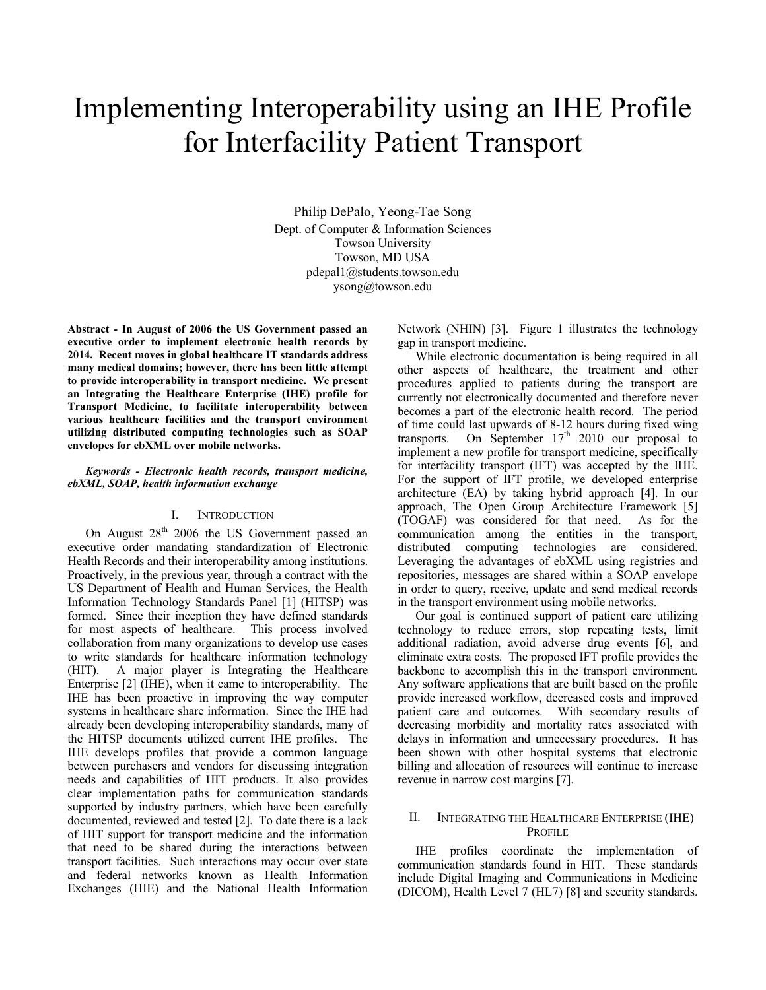# Implementing Interoperability using an IHE Profile for Interfacility Patient Transport

Philip DePalo, Yeong-Tae Song Dept. of Computer & Information Sciences Towson University Towson, MD USA pdepal1@students.towson.edu ysong@towson.edu

**Abstract - In August of 2006 the US Government passed an executive order to implement electronic health records by 2014. Recent moves in global healthcare IT standards address many medical domains; however, there has been little attempt to provide interoperability in transport medicine. We present an Integrating the Healthcare Enterprise (IHE) profile for Transport Medicine, to facilitate interoperability between various healthcare facilities and the transport environment utilizing distributed computing technologies such as SOAP envelopes for ebXML over mobile networks.** 

#### *Keywords - Electronic health records, transport medicine, ebXML, SOAP, health information exchange*

# I. INTRODUCTION

On August  $28<sup>th</sup>$  2006 the US Government passed an executive order mandating standardization of Electronic Health Records and their interoperability among institutions. Proactively, in the previous year, through a contract with the US Department of Health and Human Services, the Health Information Technology Standards Panel [1] (HITSP) was formed. Since their inception they have defined standards for most aspects of healthcare. This process involved collaboration from many organizations to develop use cases to write standards for healthcare information technology (HIT). A major player is Integrating the Healthcare Enterprise [2] (IHE), when it came to interoperability. The IHE has been proactive in improving the way computer systems in healthcare share information. Since the IHE had already been developing interoperability standards, many of the HITSP documents utilized current IHE profiles. The IHE develops profiles that provide a common language between purchasers and vendors for discussing integration needs and capabilities of HIT products. It also provides clear implementation paths for communication standards supported by industry partners, which have been carefully documented, reviewed and tested [2]. To date there is a lack of HIT support for transport medicine and the information that need to be shared during the interactions between transport facilities. Such interactions may occur over state and federal networks known as Health Information Exchanges (HIE) and the National Health Information

Network (NHIN) [3]. Figure 1 illustrates the technology gap in transport medicine.

While electronic documentation is being required in all other aspects of healthcare, the treatment and other procedures applied to patients during the transport are currently not electronically documented and therefore never becomes a part of the electronic health record. The period of time could last upwards of 8-12 hours during fixed wing transports. On September  $17<sup>th</sup>$  2010 our proposal to implement a new profile for transport medicine, specifically for interfacility transport (IFT) was accepted by the IHE. For the support of IFT profile, we developed enterprise architecture (EA) by taking hybrid approach [4]. In our approach, The Open Group Architecture Framework [5] (TOGAF) was considered for that need. As for the communication among the entities in the transport, distributed computing technologies are considered. Leveraging the advantages of ebXML using registries and repositories, messages are shared within a SOAP envelope in order to query, receive, update and send medical records in the transport environment using mobile networks.

Our goal is continued support of patient care utilizing technology to reduce errors, stop repeating tests, limit additional radiation, avoid adverse drug events [6], and eliminate extra costs. The proposed IFT profile provides the backbone to accomplish this in the transport environment. Any software applications that are built based on the profile provide increased workflow, decreased costs and improved patient care and outcomes. With secondary results of decreasing morbidity and mortality rates associated with delays in information and unnecessary procedures. It has been shown with other hospital systems that electronic billing and allocation of resources will continue to increase revenue in narrow cost margins [7].

# II. INTEGRATING THE HEALTHCARE ENTERPRISE (IHE) PROFILE

IHE profiles coordinate the implementation of communication standards found in HIT. These standards include Digital Imaging and Communications in Medicine (DICOM), Health Level 7 (HL7) [8] and security standards.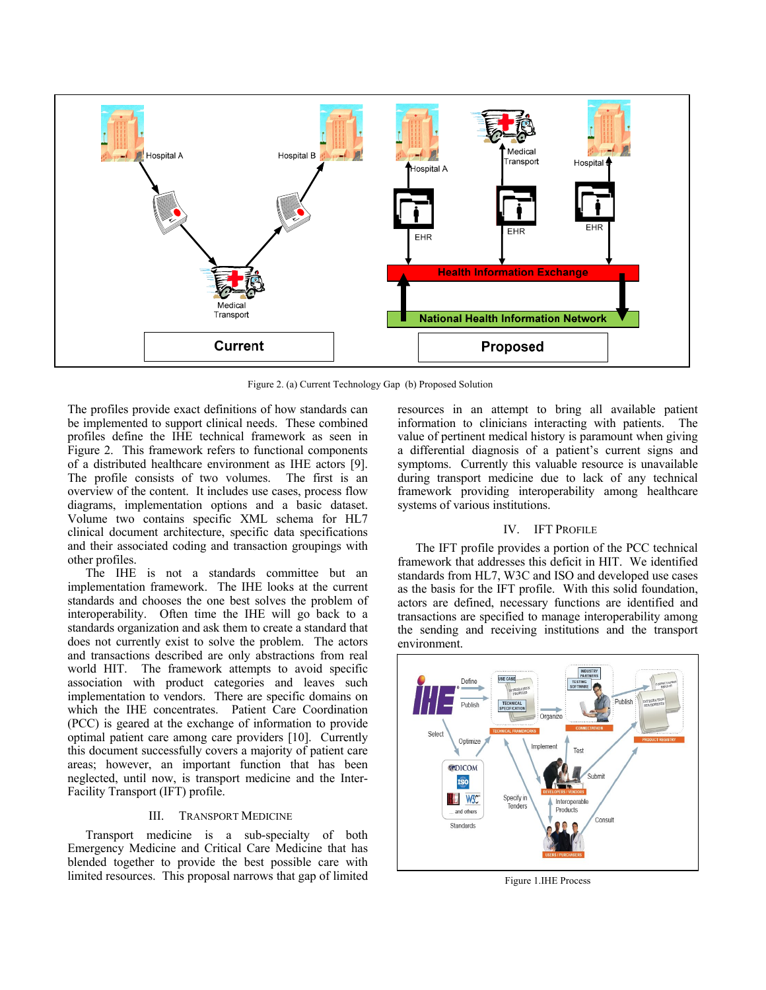

Figure 2. (a) Current Technology Gap (b) Proposed Solution

The profiles provide exact definitions of how standards can be implemented to support clinical needs. These combined profiles define the IHE technical framework as seen in Figure 2. This framework refers to functional components of a distributed healthcare environment as IHE actors [9]. The profile consists of two volumes. The first is an overview of the content. It includes use cases, process flow diagrams, implementation options and a basic dataset. Volume two contains specific XML schema for HL7 clinical document architecture, specific data specifications and their associated coding and transaction groupings with other profiles.

The IHE is not a standards committee but an implementation framework. The IHE looks at the current standards and chooses the one best solves the problem of interoperability. Often time the IHE will go back to a standards organization and ask them to create a standard that does not currently exist to solve the problem. The actors and transactions described are only abstractions from real world HIT. The framework attempts to avoid specific association with product categories and leaves such implementation to vendors. There are specific domains on which the IHE concentrates. Patient Care Coordination (PCC) is geared at the exchange of information to provide optimal patient care among care providers [10]. Currently this document successfully covers a majority of patient care areas; however, an important function that has been neglected, until now, is transport medicine and the Inter-Facility Transport (IFT) profile.

### III. TRANSPORT MEDICINE

Transport medicine is a sub-specialty of both Emergency Medicine and Critical Care Medicine that has blended together to provide the best possible care with limited resources. This proposal narrows that gap of limited

resources in an attempt to bring all available patient information to clinicians interacting with patients. The value of pertinent medical history is paramount when giving a differential diagnosis of a patient's current signs and symptoms. Currently this valuable resource is unavailable during transport medicine due to lack of any technical framework providing interoperability among healthcare systems of various institutions.

## IV. IFT PROFILE

The IFT profile provides a portion of the PCC technical framework that addresses this deficit in HIT. We identified standards from HL7, W3C and ISO and developed use cases as the basis for the IFT profile. With this solid foundation, actors are defined, necessary functions are identified and transactions are specified to manage interoperability among the sending and receiving institutions and the transport environment.



Figure 1.IHE Process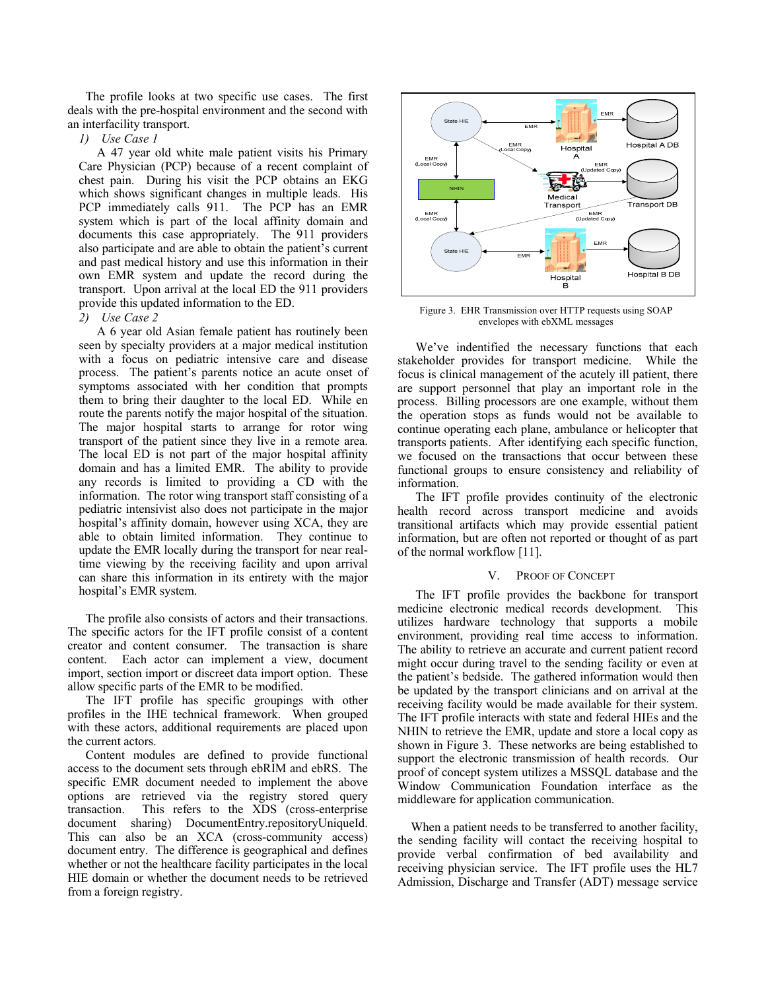The profile looks at two specific use cases. The first deals with the pre-hospital environment and the second with an interfacility transport.

*1) Use Case 1* 

A 47 year old white male patient visits his Primary Care Physician (PCP) because of a recent complaint of chest pain. During his visit the PCP obtains an EKG which shows significant changes in multiple leads. His PCP immediately calls 911. The PCP has an EMR system which is part of the local affinity domain and documents this case appropriately. The 911 providers also participate and are able to obtain the patient's current and past medical history and use this information in their own EMR system and update the record during the transport. Upon arrival at the local ED the 911 providers provide this updated information to the ED.

#### *2) Use Case 2*

A 6 year old Asian female patient has routinely been seen by specialty providers at a major medical institution with a focus on pediatric intensive care and disease process. The patient's parents notice an acute onset of symptoms associated with her condition that prompts them to bring their daughter to the local ED. While en route the parents notify the major hospital of the situation. The major hospital starts to arrange for rotor wing transport of the patient since they live in a remote area. The local ED is not part of the major hospital affinity domain and has a limited EMR. The ability to provide any records is limited to providing a CD with the information. The rotor wing transport staff consisting of a pediatric intensivist also does not participate in the major hospital's affinity domain, however using XCA, they are able to obtain limited information. They continue to update the EMR locally during the transport for near realtime viewing by the receiving facility and upon arrival can share this information in its entirety with the major hospital's EMR system.

The profile also consists of actors and their transactions. The specific actors for the IFT profile consist of a content creator and content consumer. The transaction is share content. Each actor can implement a view, document import, section import or discreet data import option. These allow specific parts of the EMR to be modified.

The IFT profile has specific groupings with other profiles in the IHE technical framework. When grouped with these actors, additional requirements are placed upon the current actors.

Content modules are defined to provide functional access to the document sets through ebRIM and ebRS. The specific EMR document needed to implement the above options are retrieved via the registry stored query transaction. This refers to the XDS (cross-enterprise document sharing) DocumentEntry.repositoryUniqueId. This can also be an XCA (cross-community access) document entry. The difference is geographical and defines whether or not the healthcare facility participates in the local HIE domain or whether the document needs to be retrieved from a foreign registry.



Figure 3. EHR Transmission over HTTP requests using SOAP envelopes with ebXML messages

We've indentified the necessary functions that each stakeholder provides for transport medicine. While the focus is clinical management of the acutely ill patient, there are support personnel that play an important role in the process. Billing processors are one example, without them the operation stops as funds would not be available to continue operating each plane, ambulance or helicopter that transports patients. After identifying each specific function, we focused on the transactions that occur between these functional groups to ensure consistency and reliability of information.

The IFT profile provides continuity of the electronic health record across transport medicine and avoids transitional artifacts which may provide essential patient information, but are often not reported or thought of as part of the normal workflow [11].

# V. PROOF OF CONCEPT

The IFT profile provides the backbone for transport medicine electronic medical records development. This utilizes hardware technology that supports a mobile environment, providing real time access to information. The ability to retrieve an accurate and current patient record might occur during travel to the sending facility or even at the patient's bedside. The gathered information would then be updated by the transport clinicians and on arrival at the receiving facility would be made available for their system. The IFT profile interacts with state and federal HIEs and the NHIN to retrieve the EMR, update and store a local copy as shown in Figure 3. These networks are being established to support the electronic transmission of health records. Our proof of concept system utilizes a MSSQL database and the Window Communication Foundation interface as the middleware for application communication.

When a patient needs to be transferred to another facility, the sending facility will contact the receiving hospital to provide verbal confirmation of bed availability and receiving physician service. The IFT profile uses the HL7 Admission, Discharge and Transfer (ADT) message service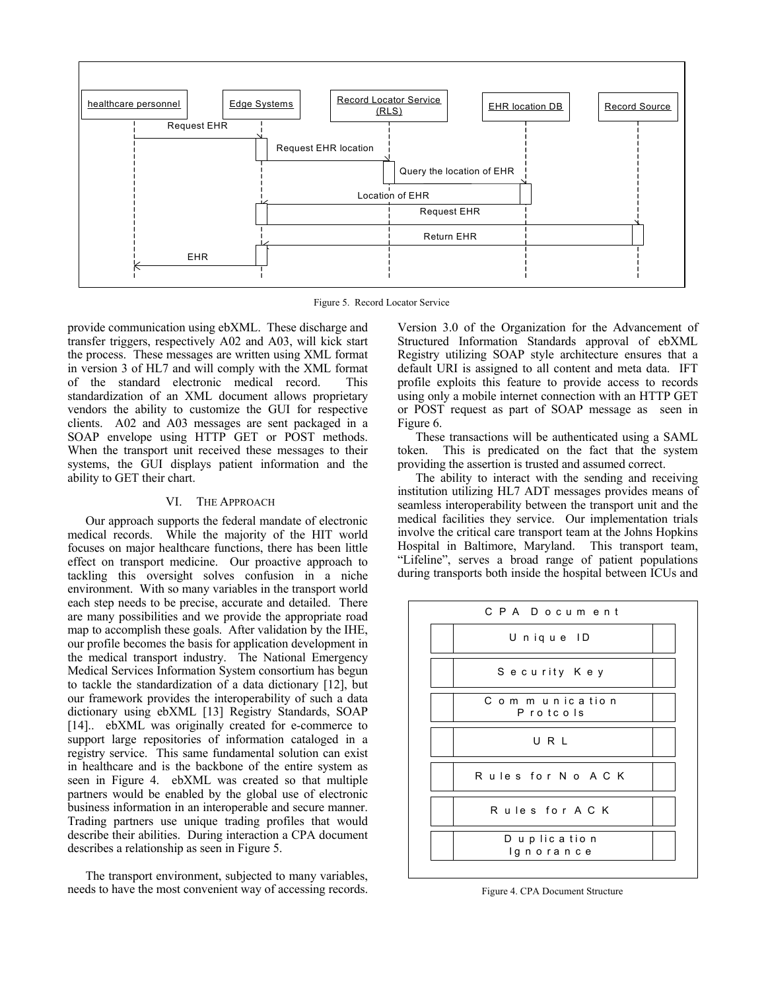

Figure 5. Record Locator Service

provide communication using ebXML. These discharge and transfer triggers, respectively A02 and A03, will kick start the process. These messages are written using XML format in version 3 of HL7 and will comply with the XML format of the standard electronic medical record. This standardization of an XML document allows proprietary vendors the ability to customize the GUI for respective clients. A02 and A03 messages are sent packaged in a SOAP envelope using HTTP GET or POST methods. When the transport unit received these messages to their systems, the GUI displays patient information and the ability to GET their chart.

# VI. THE APPROACH

Our approach supports the federal mandate of electronic medical records. While the majority of the HIT world focuses on major healthcare functions, there has been little effect on transport medicine. Our proactive approach to tackling this oversight solves confusion in a niche environment. With so many variables in the transport world each step needs to be precise, accurate and detailed. There are many possibilities and we provide the appropriate road map to accomplish these goals. After validation by the IHE, our profile becomes the basis for application development in the medical transport industry. The National Emergency Medical Services Information System consortium has begun to tackle the standardization of a data dictionary [12], but our framework provides the interoperability of such a data dictionary using ebXML [13] Registry Standards, SOAP [14].. ebXML was originally created for e-commerce to support large repositories of information cataloged in a registry service. This same fundamental solution can exist in healthcare and is the backbone of the entire system as seen in Figure 4. ebXML was created so that multiple partners would be enabled by the global use of electronic business information in an interoperable and secure manner. Trading partners use unique trading profiles that would describe their abilities. During interaction a CPA document describes a relationship as seen in Figure 5.

The transport environment, subjected to many variables, needs to have the most convenient way of accessing records.

Version 3.0 of the Organization for the Advancement of Structured Information Standards approval of ebXML Registry utilizing SOAP style architecture ensures that a default URI is assigned to all content and meta data. IFT profile exploits this feature to provide access to records using only a mobile internet connection with an HTTP GET or POST request as part of SOAP message as seen in Figure 6.

These transactions will be authenticated using a SAML token. This is predicated on the fact that the system providing the assertion is trusted and assumed correct.

The ability to interact with the sending and receiving institution utilizing HL7 ADT messages provides means of seamless interoperability between the transport unit and the medical facilities they service. Our implementation trials involve the critical care transport team at the Johns Hopkins Hospital in Baltimore, Maryland. This transport team, "Lifeline", serves a broad range of patient populations during transports both inside the hospital between ICUs and



Figure 4. CPA Document Structure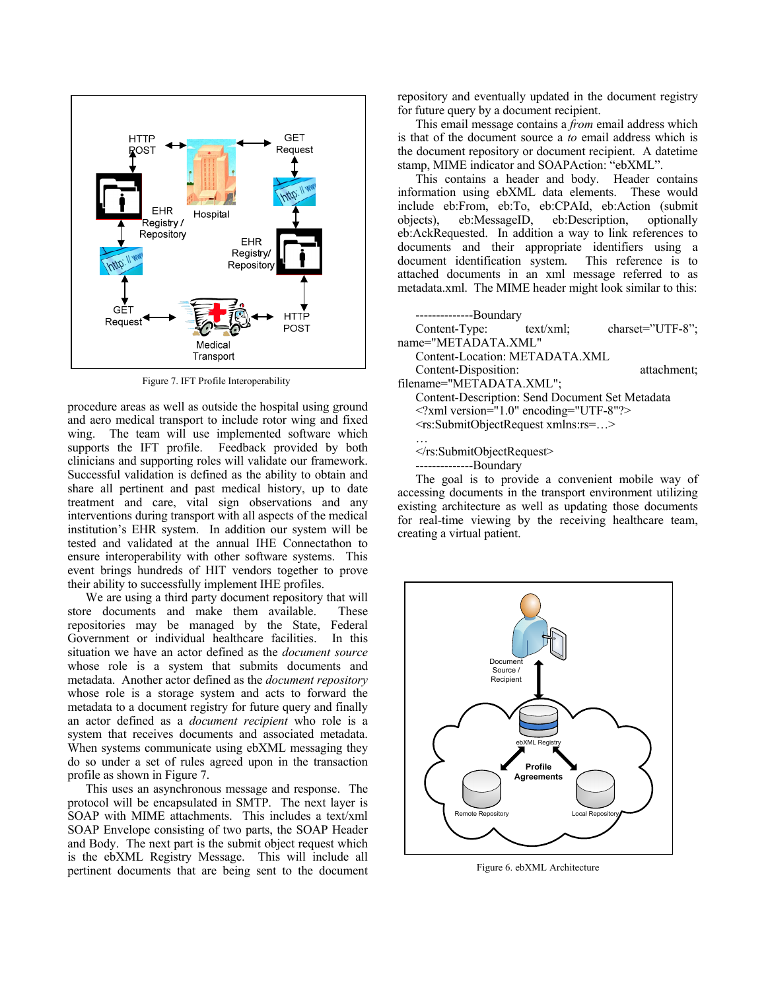

Figure 7. IFT Profile Interoperability

procedure areas as well as outside the hospital using ground and aero medical transport to include rotor wing and fixed wing. The team will use implemented software which supports the IFT profile. Feedback provided by both clinicians and supporting roles will validate our framework. Successful validation is defined as the ability to obtain and share all pertinent and past medical history, up to date treatment and care, vital sign observations and any interventions during transport with all aspects of the medical institution's EHR system. In addition our system will be tested and validated at the annual IHE Connectathon to ensure interoperability with other software systems. This event brings hundreds of HIT vendors together to prove their ability to successfully implement IHE profiles.

We are using a third party document repository that will store documents and make them available. These repositories may be managed by the State, Federal Government or individual healthcare facilities. In this situation we have an actor defined as the *document source* whose role is a system that submits documents and metadata. Another actor defined as the *document repository* whose role is a storage system and acts to forward the metadata to a document registry for future query and finally an actor defined as a *document recipient* who role is a system that receives documents and associated metadata. When systems communicate using ebXML messaging they do so under a set of rules agreed upon in the transaction profile as shown in Figure 7.

This uses an asynchronous message and response. The protocol will be encapsulated in SMTP. The next layer is SOAP with MIME attachments. This includes a text/xml SOAP Envelope consisting of two parts, the SOAP Header and Body. The next part is the submit object request which is the ebXML Registry Message. This will include all pertinent documents that are being sent to the document repository and eventually updated in the document registry for future query by a document recipient.

This email message contains a *from* email address which is that of the document source a *to* email address which is the document repository or document recipient. A datetime stamp, MIME indicator and SOAPAction: "ebXML".

This contains a header and body. Header contains information using ebXML data elements. These would include eb:From, eb:To, eb:CPAId, eb:Action (submit objects), eb:MessageID, eb:Description, optionally eb:AckRequested. In addition a way to link references to documents and their appropriate identifiers using a document identification system. This reference is to attached documents in an xml message referred to as metadata.xml. The MIME header might look similar to this:

--------------Boundary Content-Type: text/xml; charset="UTF-8"; name="METADATA.XML" Content-Location: METADATA.XML Content-Disposition: attachment; filename="METADATA.XML"; Content-Description: Send Document Set Metadata <?xml version="1.0" encoding="UTF-8"?> <rs:SubmitObjectRequest xmlns:rs=…> … </rs:SubmitObjectRequest> --------------Boundary The goal is to provide a convenient mobile way of

accessing documents in the transport environment utilizing existing architecture as well as updating those documents for real-time viewing by the receiving healthcare team, creating a virtual patient.



Figure 6. ebXML Architecture